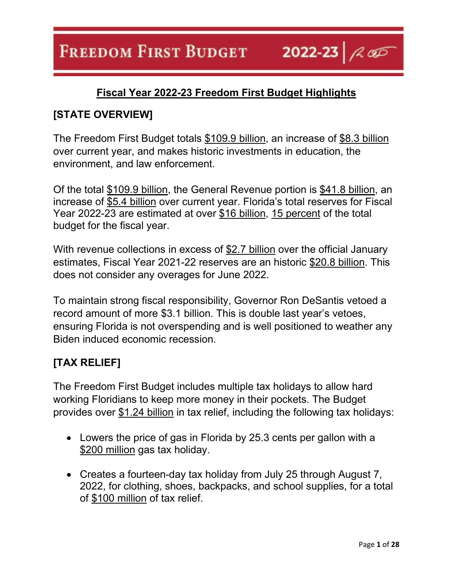2022-23  $\sim$ 

# **Fiscal Year 2022-23 Freedom First Budget Highlights**

# **[STATE OVERVIEW]**

The Freedom First Budget totals \$109.9 billion, an increase of \$8.3 billion over current year, and makes historic investments in education, the environment, and law enforcement.

Of the total \$109.9 billion, the General Revenue portion is \$41.8 billion, an increase of \$5.4 billion over current year. Florida's total reserves for Fiscal Year 2022-23 are estimated at over \$16 billion, 15 percent of the total budget for the fiscal year.

With revenue collections in excess of \$2.7 billion over the official January estimates, Fiscal Year 2021-22 reserves are an historic \$20.8 billion. This does not consider any overages for June 2022.

To maintain strong fiscal responsibility, Governor Ron DeSantis vetoed a record amount of more \$3.1 billion. This is double last year's vetoes, ensuring Florida is not overspending and is well positioned to weather any Biden induced economic recession.

# **[TAX RELIEF]**

The Freedom First Budget includes multiple tax holidays to allow hard working Floridians to keep more money in their pockets. The Budget provides over \$1.24 billion in tax relief, including the following tax holidays:

- Lowers the price of gas in Florida by 25.3 cents per gallon with a \$200 million gas tax holiday.
- Creates a fourteen-day tax holiday from July 25 through August 7, 2022, for clothing, shoes, backpacks, and school supplies, for a total of \$100 million of tax relief.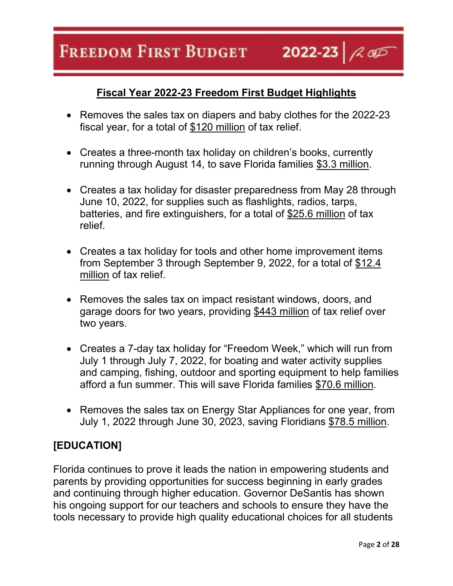2022-23  $\sim$ 

# **Fiscal Year 2022-23 Freedom First Budget Highlights**

- Removes the sales tax on diapers and baby clothes for the 2022-23 fiscal year, for a total of \$120 million of tax relief.
- Creates a three-month tax holiday on children's books, currently running through August 14, to save Florida families \$3.3 million.
- Creates a tax holiday for disaster preparedness from May 28 through June 10, 2022, for supplies such as flashlights, radios, tarps, batteries, and fire extinguishers, for a total of \$25.6 million of tax relief.
- Creates a tax holiday for tools and other home improvement items from September 3 through September 9, 2022, for a total of \$12.4 million of tax relief.
- Removes the sales tax on impact resistant windows, doors, and garage doors for two years, providing \$443 million of tax relief over two years.
- Creates a 7-day tax holiday for "Freedom Week," which will run from July 1 through July 7, 2022, for boating and water activity supplies and camping, fishing, outdoor and sporting equipment to help families afford a fun summer. This will save Florida families \$70.6 million.
- Removes the sales tax on Energy Star Appliances for one year, from July 1, 2022 through June 30, 2023, saving Floridians \$78.5 million.

# **[EDUCATION]**

Florida continues to prove it leads the nation in empowering students and parents by providing opportunities for success beginning in early grades and continuing through higher education. Governor DeSantis has shown his ongoing support for our teachers and schools to ensure they have the tools necessary to provide high quality educational choices for all students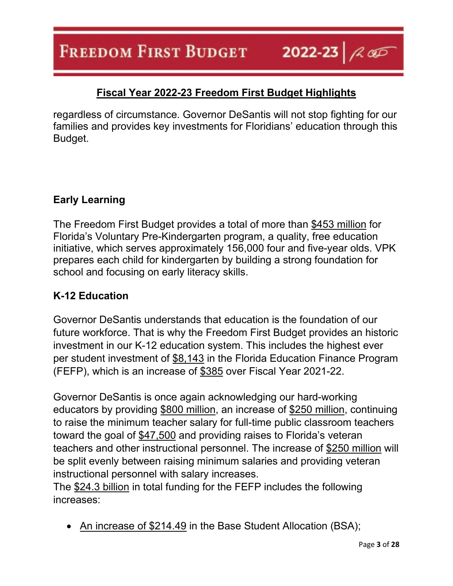2022-23  $\sim$ 

# **Fiscal Year 2022-23 Freedom First Budget Highlights**

regardless of circumstance. Governor DeSantis will not stop fighting for our families and provides key investments for Floridians' education through this Budget.

## **Early Learning**

The Freedom First Budget provides a total of more than \$453 million for Florida's Voluntary Pre-Kindergarten program, a quality, free education initiative, which serves approximately 156,000 four and five-year olds. VPK prepares each child for kindergarten by building a strong foundation for school and focusing on early literacy skills.

## **K-12 Education**

Governor DeSantis understands that education is the foundation of our future workforce. That is why the Freedom First Budget provides an historic investment in our K-12 education system. This includes the highest ever per student investment of \$8,143 in the Florida Education Finance Program (FEFP), which is an increase of \$385 over Fiscal Year 2021-22.

Governor DeSantis is once again acknowledging our hard-working educators by providing \$800 million, an increase of \$250 million, continuing to raise the minimum teacher salary for full-time public classroom teachers toward the goal of \$47,500 and providing raises to Florida's veteran teachers and other instructional personnel. The increase of \$250 million will be split evenly between raising minimum salaries and providing veteran instructional personnel with salary increases.

The \$24.3 billion in total funding for the FEFP includes the following increases:

• An increase of \$214.49 in the Base Student Allocation (BSA);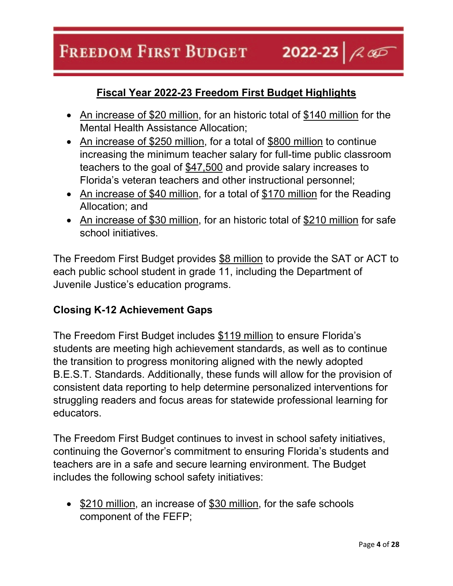#### **FREEDOM FIRST BUDGET** 2022-23  $\sim$

# **Fiscal Year 2022-23 Freedom First Budget Highlights**

- An increase of \$20 million, for an historic total of \$140 million for the Mental Health Assistance Allocation;
- An increase of \$250 million, for a total of \$800 million to continue increasing the minimum teacher salary for full-time public classroom teachers to the goal of \$47,500 and provide salary increases to Florida's veteran teachers and other instructional personnel;
- An increase of \$40 million, for a total of \$170 million for the Reading Allocation; and
- An increase of \$30 million, for an historic total of \$210 million for safe school initiatives.

The Freedom First Budget provides \$8 million to provide the SAT or ACT to each public school student in grade 11, including the Department of Juvenile Justice's education programs.

## **Closing K-12 Achievement Gaps**

The Freedom First Budget includes \$119 million to ensure Florida's students are meeting high achievement standards, as well as to continue the transition to progress monitoring aligned with the newly adopted B.E.S.T. Standards. Additionally, these funds will allow for the provision of consistent data reporting to help determine personalized interventions for struggling readers and focus areas for statewide professional learning for educators.

The Freedom First Budget continues to invest in school safety initiatives, continuing the Governor's commitment to ensuring Florida's students and teachers are in a safe and secure learning environment. The Budget includes the following school safety initiatives:

• \$210 million, an increase of \$30 million, for the safe schools component of the FEFP;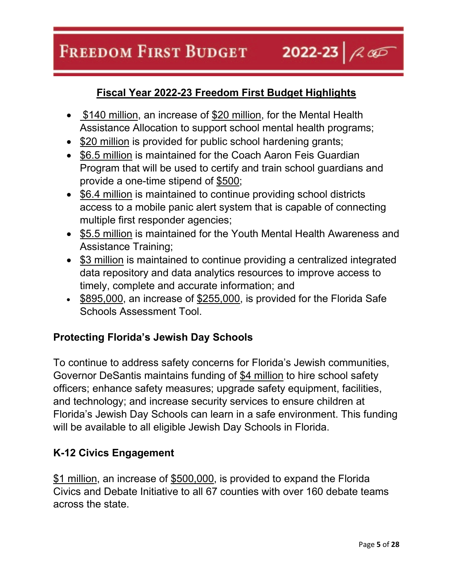#### **FREEDOM FIRST BUDGET** 2022-23  $\sim$

# **Fiscal Year 2022-23 Freedom First Budget Highlights**

- \$140 million, an increase of \$20 million, for the Mental Health Assistance Allocation to support school mental health programs;
- \$20 million is provided for public school hardening grants;
- \$6.5 million is maintained for the Coach Aaron Feis Guardian Program that will be used to certify and train school guardians and provide a one-time stipend of \$500;
- \$6.4 million is maintained to continue providing school districts access to a mobile panic alert system that is capable of connecting multiple first responder agencies;
- \$5.5 million is maintained for the Youth Mental Health Awareness and Assistance Training;
- \$3 million is maintained to continue providing a centralized integrated data repository and data analytics resources to improve access to timely, complete and accurate information; and
- \$895,000, an increase of \$255,000, is provided for the Florida Safe Schools Assessment Tool.

# **Protecting Florida's Jewish Day Schools**

To continue to address safety concerns for Florida's Jewish communities, Governor DeSantis maintains funding of \$4 million to hire school safety officers; enhance safety measures; upgrade safety equipment, facilities, and technology; and increase security services to ensure children at Florida's Jewish Day Schools can learn in a safe environment. This funding will be available to all eligible Jewish Day Schools in Florida.

## **K-12 Civics Engagement**

\$1 million, an increase of \$500,000, is provided to expand the Florida Civics and Debate Initiative to all 67 counties with over 160 debate teams across the state.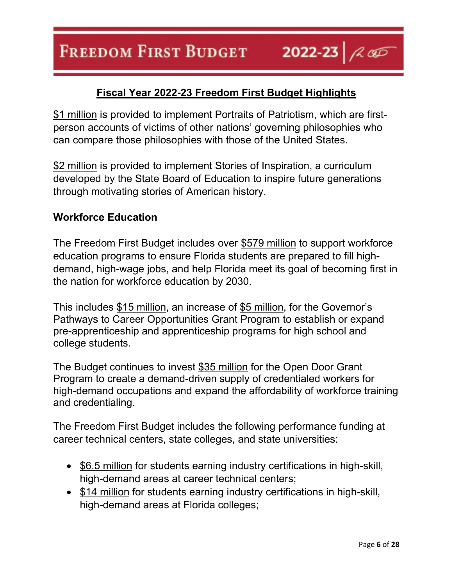\$1 million is provided to implement Portraits of Patriotism, which are firstperson accounts of victims of other nations' governing philosophies who can compare those philosophies with those of the United States.

\$2 million is provided to implement Stories of Inspiration, a curriculum developed by the State Board of Education to inspire future generations through motivating stories of American history.

## **Workforce Education**

The Freedom First Budget includes over \$579 million to support workforce education programs to ensure Florida students are prepared to fill highdemand, high-wage jobs, and help Florida meet its goal of becoming first in the nation for workforce education by 2030.

This includes \$15 million, an increase of \$5 million, for the Governor's Pathways to Career Opportunities Grant Program to establish or expand pre-apprenticeship and apprenticeship programs for high school and college students.

The Budget continues to invest \$35 million for the Open Door Grant Program to create a demand-driven supply of credentialed workers for high-demand occupations and expand the affordability of workforce training and credentialing.

The Freedom First Budget includes the following performance funding at career technical centers, state colleges, and state universities:

- \$6.5 million for students earning industry certifications in high-skill, high-demand areas at career technical centers;
- \$14 million for students earning industry certifications in high-skill, high-demand areas at Florida colleges;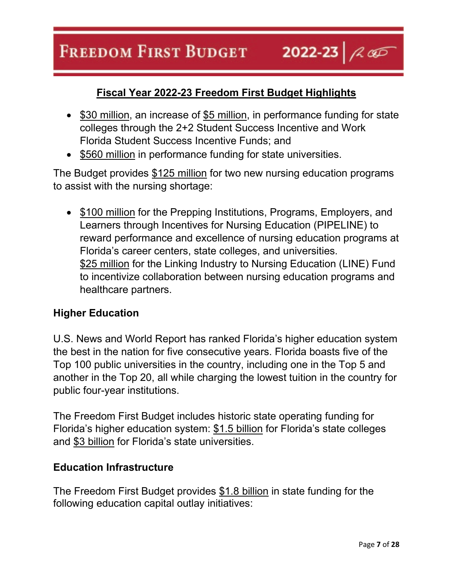#### **FREEDOM FIRST BUDGET** 2022-23  $\sim$

# **Fiscal Year 2022-23 Freedom First Budget Highlights**

- \$30 million, an increase of \$5 million, in performance funding for state colleges through the 2+2 Student Success Incentive and Work Florida Student Success Incentive Funds; and
- \$560 million in performance funding for state universities.

The Budget provides \$125 million for two new nursing education programs to assist with the nursing shortage:

• \$100 million for the Prepping Institutions, Programs, Employers, and Learners through Incentives for Nursing Education (PIPELINE) to reward performance and excellence of nursing education programs at Florida's career centers, state colleges, and universities. \$25 million for the Linking Industry to Nursing Education (LINE) Fund to incentivize collaboration between nursing education programs and healthcare partners.

## **Higher Education**

U.S. News and World Report has ranked Florida's higher education system the best in the nation for five consecutive years. Florida boasts five of the Top 100 public universities in the country, including one in the Top 5 and another in the Top 20, all while charging the lowest tuition in the country for public four-year institutions.

The Freedom First Budget includes historic state operating funding for Florida's higher education system: \$1.5 billion for Florida's state colleges and \$3 billion for Florida's state universities.

#### **Education Infrastructure**

The Freedom First Budget provides \$1.8 billion in state funding for the following education capital outlay initiatives: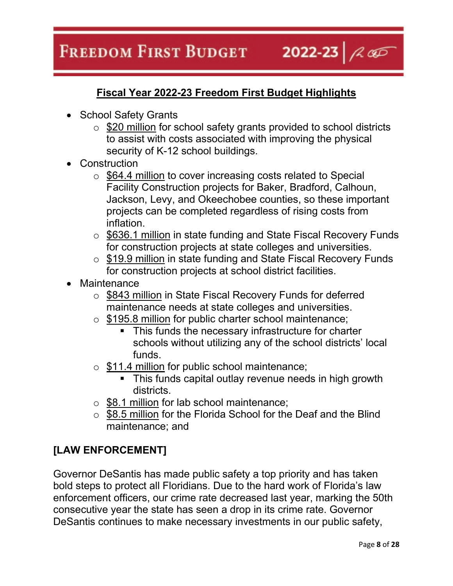2022-23  $\sim$ 

# **Fiscal Year 2022-23 Freedom First Budget Highlights**

- School Safety Grants
	- $\circ$  \$20 million for school safety grants provided to school districts to assist with costs associated with improving the physical security of K-12 school buildings.
- Construction
	- o \$64.4 million to cover increasing costs related to Special Facility Construction projects for Baker, Bradford, Calhoun, Jackson, Levy, and Okeechobee counties, so these important projects can be completed regardless of rising costs from inflation.
	- o \$636.1 million in state funding and State Fiscal Recovery Funds for construction projects at state colleges and universities.
	- o \$19.9 million in state funding and State Fiscal Recovery Funds for construction projects at school district facilities.
- **Maintenance** 
	- o \$843 million in State Fiscal Recovery Funds for deferred maintenance needs at state colleges and universities.
	- o \$195.8 million for public charter school maintenance;
		- This funds the necessary infrastructure for charter schools without utilizing any of the school districts' local funds.
	- o \$11.4 million for public school maintenance;
		- This funds capital outlay revenue needs in high growth districts.
	- $\circ$  \$8.1 million for lab school maintenance;
	- o \$8.5 million for the Florida School for the Deaf and the Blind maintenance; and

# **[LAW ENFORCEMENT]**

Governor DeSantis has made public safety a top priority and has taken bold steps to protect all Floridians. Due to the hard work of Florida's law enforcement officers, our crime rate decreased last year, marking the 50th consecutive year the state has seen a drop in its crime rate. Governor DeSantis continues to make necessary investments in our public safety,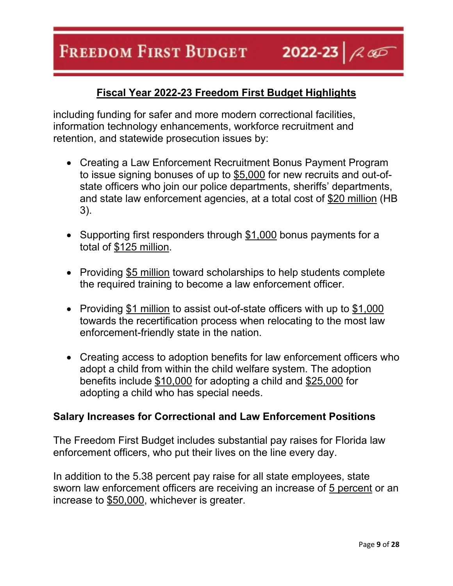including funding for safer and more modern correctional facilities, information technology enhancements, workforce recruitment and retention, and statewide prosecution issues by:

- Creating a Law Enforcement Recruitment Bonus Payment Program to issue signing bonuses of up to \$5,000 for new recruits and out-ofstate officers who join our police departments, sheriffs' departments, and state law enforcement agencies, at a total cost of \$20 million (HB 3).
- Supporting first responders through \$1,000 bonus payments for a total of \$125 million.
- Providing \$5 million toward scholarships to help students complete the required training to become a law enforcement officer.
- Providing \$1 million to assist out-of-state officers with up to \$1,000 towards the recertification process when relocating to the most law enforcement-friendly state in the nation.
- Creating access to adoption benefits for law enforcement officers who adopt a child from within the child welfare system. The adoption benefits include \$10,000 for adopting a child and \$25,000 for adopting a child who has special needs.

## **Salary Increases for Correctional and Law Enforcement Positions**

The Freedom First Budget includes substantial pay raises for Florida law enforcement officers, who put their lives on the line every day.

In addition to the 5.38 percent pay raise for all state employees, state sworn law enforcement officers are receiving an increase of 5 percent or an increase to \$50,000, whichever is greater.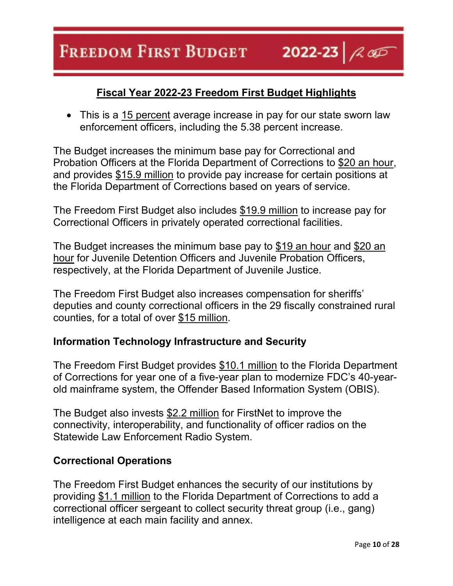• This is a 15 percent average increase in pay for our state sworn law enforcement officers, including the 5.38 percent increase.

The Budget increases the minimum base pay for Correctional and Probation Officers at the Florida Department of Corrections to \$20 an hour, and provides \$15.9 million to provide pay increase for certain positions at the Florida Department of Corrections based on years of service.

The Freedom First Budget also includes \$19.9 million to increase pay for Correctional Officers in privately operated correctional facilities.

The Budget increases the minimum base pay to \$19 an hour and \$20 an hour for Juvenile Detention Officers and Juvenile Probation Officers, respectively, at the Florida Department of Juvenile Justice.

The Freedom First Budget also increases compensation for sheriffs' deputies and county correctional officers in the 29 fiscally constrained rural counties, for a total of over \$15 million.

# **Information Technology Infrastructure and Security**

The Freedom First Budget provides \$10.1 million to the Florida Department of Corrections for year one of a five-year plan to modernize FDC's 40-yearold mainframe system, the Offender Based Information System (OBIS).

The Budget also invests \$2.2 million for FirstNet to improve the connectivity, interoperability, and functionality of officer radios on the Statewide Law Enforcement Radio System.

# **Correctional Operations**

The Freedom First Budget enhances the security of our institutions by providing \$1.1 million to the Florida Department of Corrections to add a correctional officer sergeant to collect security threat group (i.e., gang) intelligence at each main facility and annex.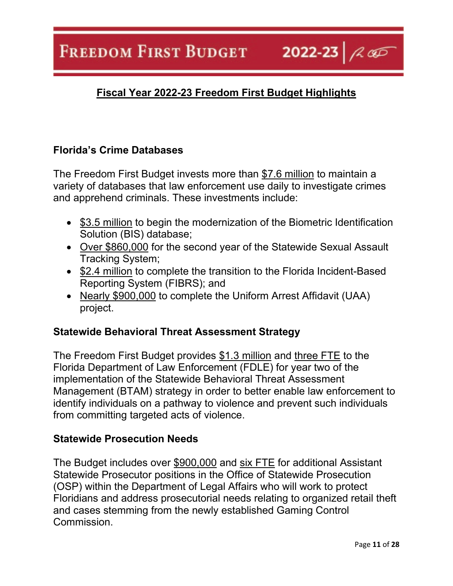2022-23  $\sim$ 

# **Fiscal Year 2022-23 Freedom First Budget Highlights**

## **Florida's Crime Databases**

The Freedom First Budget invests more than \$7.6 million to maintain a variety of databases that law enforcement use daily to investigate crimes and apprehend criminals. These investments include:

- \$3.5 million to begin the modernization of the Biometric Identification Solution (BIS) database;
- Over \$860,000 for the second year of the Statewide Sexual Assault Tracking System;
- \$2.4 million to complete the transition to the Florida Incident-Based Reporting System (FIBRS); and
- Nearly \$900,000 to complete the Uniform Arrest Affidavit (UAA) project.

## **Statewide Behavioral Threat Assessment Strategy**

The Freedom First Budget provides \$1.3 million and three FTE to the Florida Department of Law Enforcement (FDLE) for year two of the implementation of the Statewide Behavioral Threat Assessment Management (BTAM) strategy in order to better enable law enforcement to identify individuals on a pathway to violence and prevent such individuals from committing targeted acts of violence.

#### **Statewide Prosecution Needs**

The Budget includes over \$900,000 and six FTE for additional Assistant Statewide Prosecutor positions in the Office of Statewide Prosecution (OSP) within the Department of Legal Affairs who will work to protect Floridians and address prosecutorial needs relating to organized retail theft and cases stemming from the newly established Gaming Control Commission.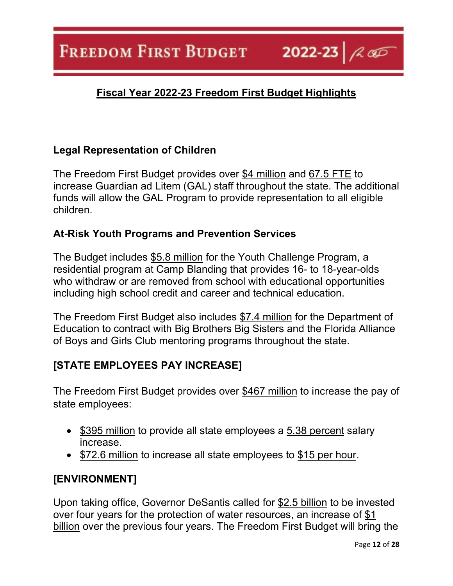2022-23  $\sim$ 

# **Fiscal Year 2022-23 Freedom First Budget Highlights**

# **Legal Representation of Children**

The Freedom First Budget provides over \$4 million and 67.5 FTE to increase Guardian ad Litem (GAL) staff throughout the state. The additional funds will allow the GAL Program to provide representation to all eligible children.

## **At-Risk Youth Programs and Prevention Services**

The Budget includes \$5.8 million for the Youth Challenge Program, a residential program at Camp Blanding that provides 16- to 18-year-olds who withdraw or are removed from school with educational opportunities including high school credit and career and technical education.

The Freedom First Budget also includes \$7.4 million for the Department of Education to contract with Big Brothers Big Sisters and the Florida Alliance of Boys and Girls Club mentoring programs throughout the state.

# **[STATE EMPLOYEES PAY INCREASE]**

The Freedom First Budget provides over \$467 million to increase the pay of state employees:

- \$395 million to provide all state employees a 5.38 percent salary increase.
- \$72.6 million to increase all state employees to \$15 per hour.

# **[ENVIRONMENT]**

Upon taking office, Governor DeSantis called for \$2.5 billion to be invested over four years for the protection of water resources, an increase of \$1 billion over the previous four years. The Freedom First Budget will bring the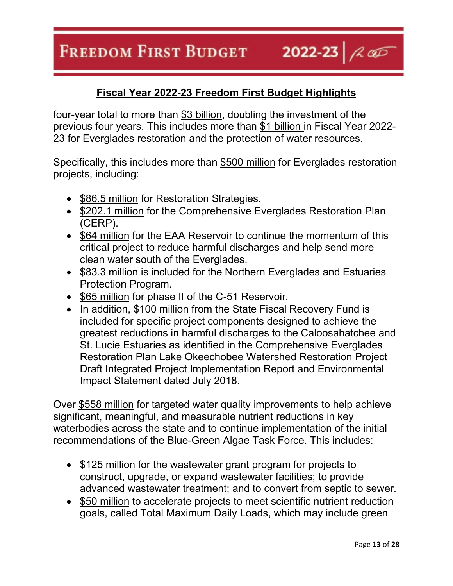# **Fiscal Year 2022-23 Freedom First Budget Highlights**

2022-23  $\sim$ 

four-year total to more than \$3 billion, doubling the investment of the previous four years. This includes more than \$1 billion in Fiscal Year 2022- 23 for Everglades restoration and the protection of water resources.

Specifically, this includes more than \$500 million for Everglades restoration projects, including:

- \$86.5 million for Restoration Strategies.
- \$202.1 million for the Comprehensive Everglades Restoration Plan (CERP).
- \$64 million for the EAA Reservoir to continue the momentum of this critical project to reduce harmful discharges and help send more clean water south of the Everglades.
- \$83.3 million is included for the Northern Everglades and Estuaries Protection Program.
- \$65 million for phase II of the C-51 Reservoir.
- In addition, \$100 million from the State Fiscal Recovery Fund is included for specific project components designed to achieve the greatest reductions in harmful discharges to the Caloosahatchee and St. Lucie Estuaries as identified in the Comprehensive Everglades Restoration Plan Lake Okeechobee Watershed Restoration Project Draft Integrated Project Implementation Report and Environmental Impact Statement dated July 2018.

Over \$558 million for targeted water quality improvements to help achieve significant, meaningful, and measurable nutrient reductions in key waterbodies across the state and to continue implementation of the initial recommendations of the Blue-Green Algae Task Force. This includes:

- \$125 million for the wastewater grant program for projects to construct, upgrade, or expand wastewater facilities; to provide advanced wastewater treatment; and to convert from septic to sewer.
- \$50 million to accelerate projects to meet scientific nutrient reduction goals, called Total Maximum Daily Loads, which may include green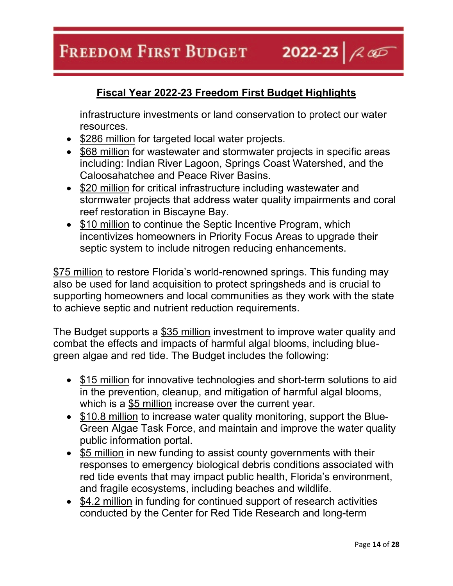**Fiscal Year 2022-23 Freedom First Budget Highlights**

infrastructure investments or land conservation to protect our water resources.

2022-23  $\sim$ 

- \$286 million for targeted local water projects.
- \$68 million for wastewater and stormwater projects in specific areas including: Indian River Lagoon, Springs Coast Watershed, and the Caloosahatchee and Peace River Basins.
- \$20 million for critical infrastructure including wastewater and stormwater projects that address water quality impairments and coral reef restoration in Biscayne Bay.
- \$10 million to continue the Septic Incentive Program, which incentivizes homeowners in Priority Focus Areas to upgrade their septic system to include nitrogen reducing enhancements.

\$75 million to restore Florida's world-renowned springs. This funding may also be used for land acquisition to protect springsheds and is crucial to supporting homeowners and local communities as they work with the state to achieve septic and nutrient reduction requirements.

The Budget supports a \$35 million investment to improve water quality and combat the effects and impacts of harmful algal blooms, including bluegreen algae and red tide. The Budget includes the following:

- \$15 million for innovative technologies and short-term solutions to aid in the prevention, cleanup, and mitigation of harmful algal blooms, which is a \$5 million increase over the current year.
- \$10.8 million to increase water quality monitoring, support the Blue-Green Algae Task Force, and maintain and improve the water quality public information portal.
- \$5 million in new funding to assist county governments with their responses to emergency biological debris conditions associated with red tide events that may impact public health, Florida's environment, and fragile ecosystems, including beaches and wildlife.
- \$4.2 million in funding for continued support of research activities conducted by the Center for Red Tide Research and long-term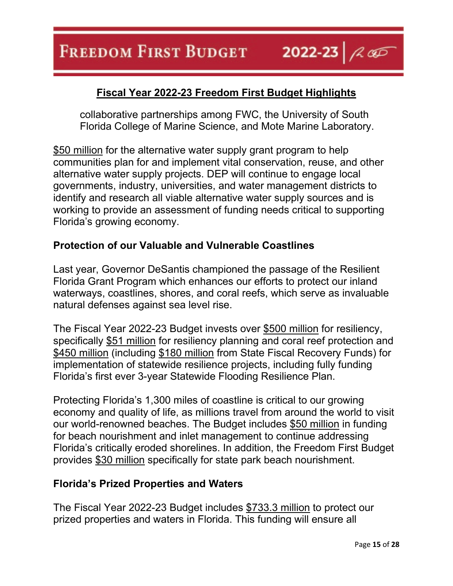collaborative partnerships among FWC, the University of South Florida College of Marine Science, and Mote Marine Laboratory.

\$50 million for the alternative water supply grant program to help communities plan for and implement vital conservation, reuse, and other alternative water supply projects. DEP will continue to engage local governments, industry, universities, and water management districts to identify and research all viable alternative water supply sources and is working to provide an assessment of funding needs critical to supporting Florida's growing economy.

## **Protection of our Valuable and Vulnerable Coastlines**

Last year, Governor DeSantis championed the passage of the Resilient Florida Grant Program which enhances our efforts to protect our inland waterways, coastlines, shores, and coral reefs, which serve as invaluable natural defenses against sea level rise.

The Fiscal Year 2022-23 Budget invests over \$500 million for resiliency, specifically \$51 million for resiliency planning and coral reef protection and \$450 million (including \$180 million from State Fiscal Recovery Funds) for implementation of statewide resilience projects, including fully funding Florida's first ever 3-year Statewide Flooding Resilience Plan.

Protecting Florida's 1,300 miles of coastline is critical to our growing economy and quality of life, as millions travel from around the world to visit our world-renowned beaches. The Budget includes \$50 million in funding for beach nourishment and inlet management to continue addressing Florida's critically eroded shorelines. In addition, the Freedom First Budget provides \$30 million specifically for state park beach nourishment.

#### **Florida's Prized Properties and Waters**

The Fiscal Year 2022-23 Budget includes \$733.3 million to protect our prized properties and waters in Florida. This funding will ensure all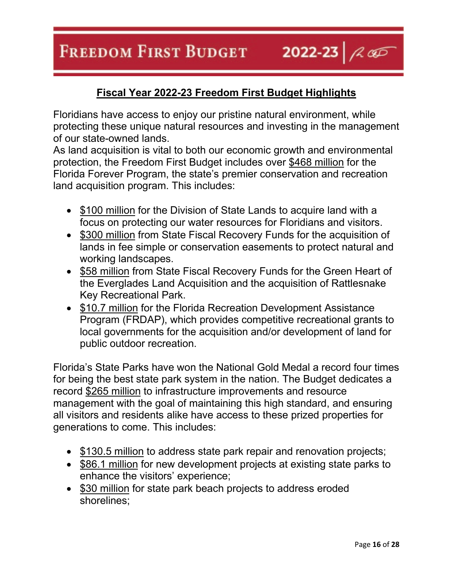2022-23  $\sim$ **FREEDOM FIRST BUDGET** 

# **Fiscal Year 2022-23 Freedom First Budget Highlights**

Floridians have access to enjoy our pristine natural environment, while protecting these unique natural resources and investing in the management of our state-owned lands.

As land acquisition is vital to both our economic growth and environmental protection, the Freedom First Budget includes over \$468 million for the Florida Forever Program, the state's premier conservation and recreation land acquisition program. This includes:

- \$100 million for the Division of State Lands to acquire land with a focus on protecting our water resources for Floridians and visitors.
- \$300 million from State Fiscal Recovery Funds for the acquisition of lands in fee simple or conservation easements to protect natural and working landscapes.
- \$58 million from State Fiscal Recovery Funds for the Green Heart of the Everglades Land Acquisition and the acquisition of Rattlesnake Key Recreational Park.
- \$10.7 million for the Florida Recreation Development Assistance Program (FRDAP), which provides competitive recreational grants to local governments for the acquisition and/or development of land for public outdoor recreation.

Florida's State Parks have won the National Gold Medal a record four times for being the best state park system in the nation. The Budget dedicates a record \$265 million to infrastructure improvements and resource management with the goal of maintaining this high standard, and ensuring all visitors and residents alike have access to these prized properties for generations to come. This includes:

- \$130.5 million to address state park repair and renovation projects;
- \$86.1 million for new development projects at existing state parks to enhance the visitors' experience;
- \$30 million for state park beach projects to address eroded shorelines;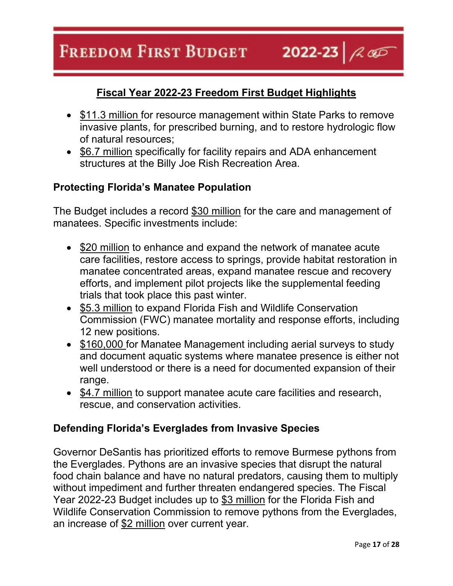#### 2022-23  $\sim$ **FREEDOM FIRST BUDGET**

## **Fiscal Year 2022-23 Freedom First Budget Highlights**

- \$11.3 million for resource management within State Parks to remove invasive plants, for prescribed burning, and to restore hydrologic flow of natural resources;
- \$6.7 million specifically for facility repairs and ADA enhancement structures at the Billy Joe Rish Recreation Area.

#### **Protecting Florida's Manatee Population**

The Budget includes a record \$30 million for the care and management of manatees. Specific investments include:

- \$20 million to enhance and expand the network of manatee acute care facilities, restore access to springs, provide habitat restoration in manatee concentrated areas, expand manatee rescue and recovery efforts, and implement pilot projects like the supplemental feeding trials that took place this past winter.
- \$5.3 million to expand Florida Fish and Wildlife Conservation Commission (FWC) manatee mortality and response efforts, including 12 new positions.
- \$160,000 for Manatee Management including aerial surveys to study and document aquatic systems where manatee presence is either not well understood or there is a need for documented expansion of their range.
- \$4.7 million to support manatee acute care facilities and research, rescue, and conservation activities.

#### **Defending Florida's Everglades from Invasive Species**

Governor DeSantis has prioritized efforts to remove Burmese pythons from the Everglades. Pythons are an invasive species that disrupt the natural food chain balance and have no natural predators, causing them to multiply without impediment and further threaten endangered species. The Fiscal Year 2022-23 Budget includes up to \$3 million for the Florida Fish and Wildlife Conservation Commission to remove pythons from the Everglades, an increase of \$2 million over current year.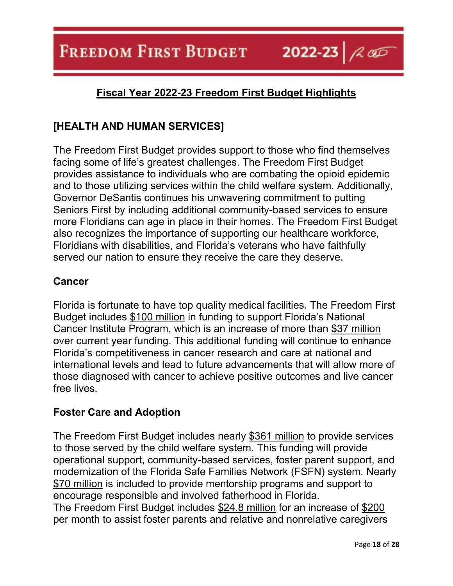2022-23  $\sim$ 

# **Fiscal Year 2022-23 Freedom First Budget Highlights**

# **[HEALTH AND HUMAN SERVICES]**

The Freedom First Budget provides support to those who find themselves facing some of life's greatest challenges. The Freedom First Budget provides assistance to individuals who are combating the opioid epidemic and to those utilizing services within the child welfare system. Additionally, Governor DeSantis continues his unwavering commitment to putting Seniors First by including additional community-based services to ensure more Floridians can age in place in their homes. The Freedom First Budget also recognizes the importance of supporting our healthcare workforce, Floridians with disabilities, and Florida's veterans who have faithfully served our nation to ensure they receive the care they deserve.

## **Cancer**

Florida is fortunate to have top quality medical facilities. The Freedom First Budget includes \$100 million in funding to support Florida's National Cancer Institute Program, which is an increase of more than \$37 million over current year funding. This additional funding will continue to enhance Florida's competitiveness in cancer research and care at national and international levels and lead to future advancements that will allow more of those diagnosed with cancer to achieve positive outcomes and live cancer free lives.

## **Foster Care and Adoption**

The Freedom First Budget includes nearly \$361 million to provide services to those served by the child welfare system. This funding will provide operational support, community-based services, foster parent support, and modernization of the Florida Safe Families Network (FSFN) system. Nearly \$70 million is included to provide mentorship programs and support to encourage responsible and involved fatherhood in Florida. The Freedom First Budget includes \$24.8 million for an increase of \$200 per month to assist foster parents and relative and nonrelative caregivers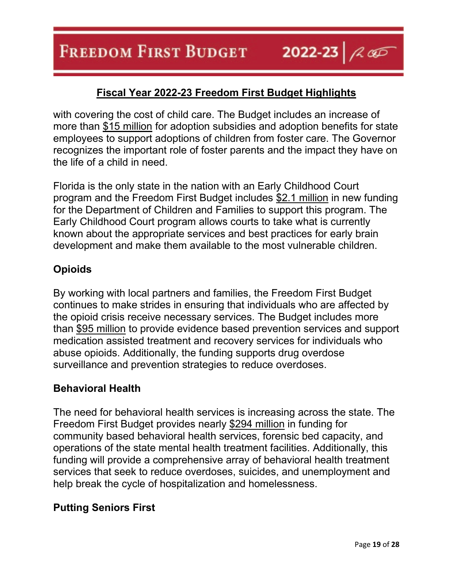with covering the cost of child care. The Budget includes an increase of more than \$15 million for adoption subsidies and adoption benefits for state employees to support adoptions of children from foster care. The Governor recognizes the important role of foster parents and the impact they have on the life of a child in need.

Florida is the only state in the nation with an Early Childhood Court program and the Freedom First Budget includes \$2.1 million in new funding for the Department of Children and Families to support this program. The Early Childhood Court program allows courts to take what is currently known about the appropriate services and best practices for early brain development and make them available to the most vulnerable children.

## **Opioids**

By working with local partners and families, the Freedom First Budget continues to make strides in ensuring that individuals who are affected by the opioid crisis receive necessary services. The Budget includes more than \$95 million to provide evidence based prevention services and support medication assisted treatment and recovery services for individuals who abuse opioids. Additionally, the funding supports drug overdose surveillance and prevention strategies to reduce overdoses.

# **Behavioral Health**

The need for behavioral health services is increasing across the state. The Freedom First Budget provides nearly \$294 million in funding for community based behavioral health services, forensic bed capacity, and operations of the state mental health treatment facilities. Additionally, this funding will provide a comprehensive array of behavioral health treatment services that seek to reduce overdoses, suicides, and unemployment and help break the cycle of hospitalization and homelessness.

# **Putting Seniors First**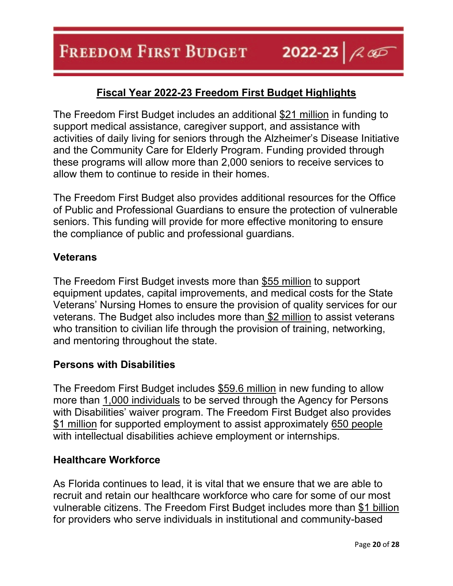The Freedom First Budget includes an additional \$21 million in funding to support medical assistance, caregiver support, and assistance with activities of daily living for seniors through the Alzheimer's Disease Initiative and the Community Care for Elderly Program. Funding provided through these programs will allow more than 2,000 seniors to receive services to allow them to continue to reside in their homes.

The Freedom First Budget also provides additional resources for the Office of Public and Professional Guardians to ensure the protection of vulnerable seniors. This funding will provide for more effective monitoring to ensure the compliance of public and professional guardians.

#### **Veterans**

The Freedom First Budget invests more than \$55 million to support equipment updates, capital improvements, and medical costs for the State Veterans' Nursing Homes to ensure the provision of quality services for our veterans. The Budget also includes more than \$2 million to assist veterans who transition to civilian life through the provision of training, networking, and mentoring throughout the state.

#### **Persons with Disabilities**

The Freedom First Budget includes \$59.6 million in new funding to allow more than 1,000 individuals to be served through the Agency for Persons with Disabilities' waiver program. The Freedom First Budget also provides \$1 million for supported employment to assist approximately 650 people with intellectual disabilities achieve employment or internships.

#### **Healthcare Workforce**

As Florida continues to lead, it is vital that we ensure that we are able to recruit and retain our healthcare workforce who care for some of our most vulnerable citizens. The Freedom First Budget includes more than \$1 billion for providers who serve individuals in institutional and community-based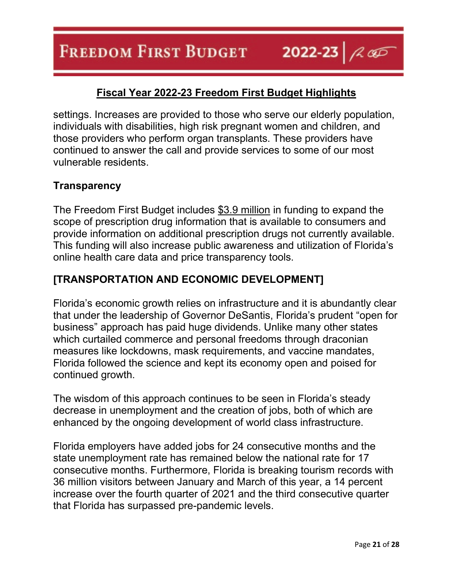settings. Increases are provided to those who serve our elderly population, individuals with disabilities, high risk pregnant women and children, and those providers who perform organ transplants. These providers have continued to answer the call and provide services to some of our most vulnerable residents.

## **Transparency**

The Freedom First Budget includes \$3.9 million in funding to expand the scope of prescription drug information that is available to consumers and provide information on additional prescription drugs not currently available. This funding will also increase public awareness and utilization of Florida's online health care data and price transparency tools.

## **[TRANSPORTATION AND ECONOMIC DEVELOPMENT]**

Florida's economic growth relies on infrastructure and it is abundantly clear that under the leadership of Governor DeSantis, Florida's prudent "open for business" approach has paid huge dividends. Unlike many other states which curtailed commerce and personal freedoms through draconian measures like lockdowns, mask requirements, and vaccine mandates, Florida followed the science and kept its economy open and poised for continued growth.

The wisdom of this approach continues to be seen in Florida's steady decrease in unemployment and the creation of jobs, both of which are enhanced by the ongoing development of world class infrastructure.

Florida employers have added jobs for 24 consecutive months and the state unemployment rate has remained below the national rate for 17 consecutive months. Furthermore, Florida is breaking tourism records with 36 million visitors between January and March of this year, a 14 percent increase over the fourth quarter of 2021 and the third consecutive quarter that Florida has surpassed pre-pandemic levels.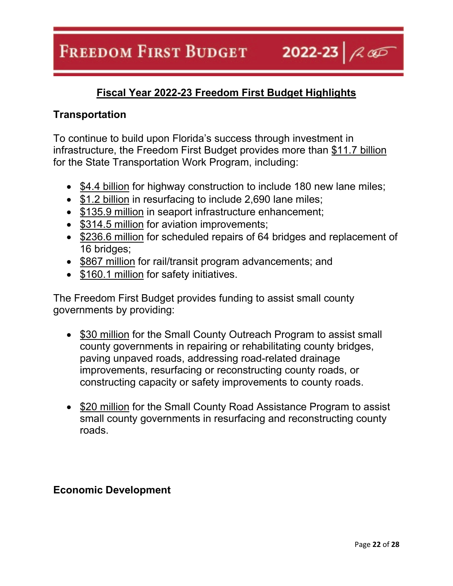2022-23  $\sim$ 

# **Fiscal Year 2022-23 Freedom First Budget Highlights**

## **Transportation**

To continue to build upon Florida's success through investment in infrastructure, the Freedom First Budget provides more than \$11.7 billion for the State Transportation Work Program, including:

- \$4.4 billion for highway construction to include 180 new lane miles;
- \$1.2 billion in resurfacing to include 2,690 lane miles;
- \$135.9 million in seaport infrastructure enhancement;
- \$314.5 million for aviation improvements;
- \$236.6 million for scheduled repairs of 64 bridges and replacement of 16 bridges;
- \$867 million for rail/transit program advancements; and
- \$160.1 million for safety initiatives.

The Freedom First Budget provides funding to assist small county governments by providing:

- \$30 million for the Small County Outreach Program to assist small county governments in repairing or rehabilitating county bridges, paving unpaved roads, addressing road-related drainage improvements, resurfacing or reconstructing county roads, or constructing capacity or safety improvements to county roads.
- \$20 million for the Small County Road Assistance Program to assist small county governments in resurfacing and reconstructing county roads.

## **Economic Development**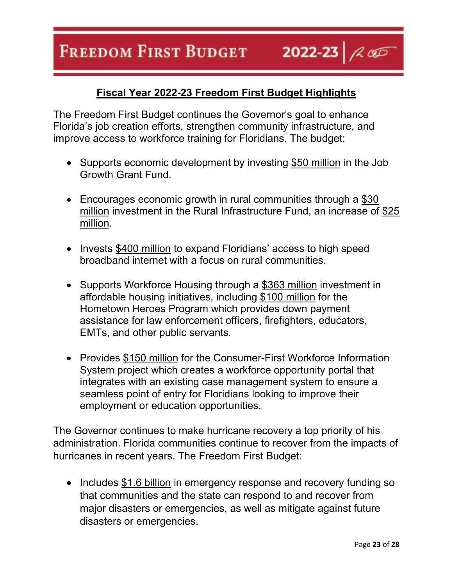# **Fiscal Year 2022-23 Freedom First Budget Highlights**

2022-23  $\sim$ 

The Freedom First Budget continues the Governor's goal to enhance Florida's job creation efforts, strengthen community infrastructure, and improve access to workforce training for Floridians. The budget:

- Supports economic development by investing \$50 million in the Job Growth Grant Fund.
- Encourages economic growth in rural communities through a \$30 million investment in the Rural Infrastructure Fund, an increase of \$25 million.
- Invests \$400 million to expand Floridians' access to high speed broadband internet with a focus on rural communities.
- Supports Workforce Housing through a \$363 million investment in affordable housing initiatives, including \$100 million for the Hometown Heroes Program which provides down payment assistance for law enforcement officers, firefighters, educators, EMTs, and other public servants.
- Provides \$150 million for the Consumer-First Workforce Information System project which creates a workforce opportunity portal that integrates with an existing case management system to ensure a seamless point of entry for Floridians looking to improve their employment or education opportunities.

The Governor continues to make hurricane recovery a top priority of his administration. Florida communities continue to recover from the impacts of hurricanes in recent years. The Freedom First Budget:

• Includes \$1.6 billion in emergency response and recovery funding so that communities and the state can respond to and recover from major disasters or emergencies, as well as mitigate against future disasters or emergencies.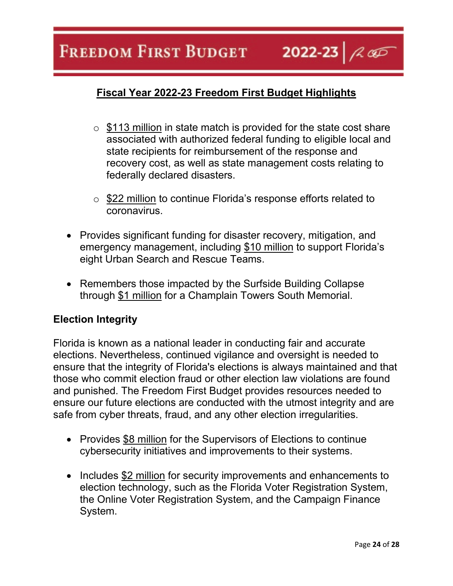#### 2022-23  $\sim$ **FREEDOM FIRST BUDGET**

# **Fiscal Year 2022-23 Freedom First Budget Highlights**

- $\circ$  \$113 million in state match is provided for the state cost share associated with authorized federal funding to eligible local and state recipients for reimbursement of the response and recovery cost, as well as state management costs relating to federally declared disasters.
- o \$22 million to continue Florida's response efforts related to coronavirus.
- Provides significant funding for disaster recovery, mitigation, and emergency management, including \$10 million to support Florida's eight Urban Search and Rescue Teams.
- Remembers those impacted by the Surfside Building Collapse through \$1 million for a Champlain Towers South Memorial.

#### **Election Integrity**

Florida is known as a national leader in conducting fair and accurate elections. Nevertheless, continued vigilance and oversight is needed to ensure that the integrity of Florida's elections is always maintained and that those who commit election fraud or other election law violations are found and punished. The Freedom First Budget provides resources needed to ensure our future elections are conducted with the utmost integrity and are safe from cyber threats, fraud, and any other election irregularities.

- Provides \$8 million for the Supervisors of Elections to continue cybersecurity initiatives and improvements to their systems.
- Includes \$2 million for security improvements and enhancements to election technology, such as the Florida Voter Registration System, the Online Voter Registration System, and the Campaign Finance System.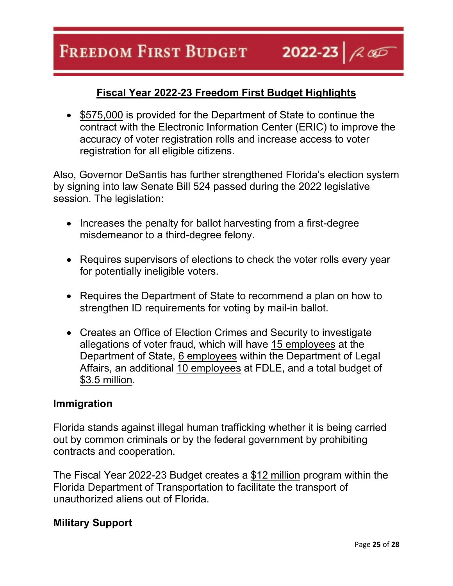#### **FREEDOM FIRST BUDGET** 2022-23  $\sim$

# **Fiscal Year 2022-23 Freedom First Budget Highlights**

• \$575,000 is provided for the Department of State to continue the contract with the Electronic Information Center (ERIC) to improve the accuracy of voter registration rolls and increase access to voter registration for all eligible citizens.

Also, Governor DeSantis has further strengthened Florida's election system by signing into law Senate Bill 524 passed during the 2022 legislative session. The legislation:

- Increases the penalty for ballot harvesting from a first-degree misdemeanor to a third-degree felony.
- Requires supervisors of elections to check the voter rolls every year for potentially ineligible voters.
- Requires the Department of State to recommend a plan on how to strengthen ID requirements for voting by mail-in ballot.
- Creates an Office of Election Crimes and Security to investigate allegations of voter fraud, which will have 15 employees at the Department of State, 6 employees within the Department of Legal Affairs, an additional 10 employees at FDLE, and a total budget of \$3.5 million.

### **Immigration**

Florida stands against illegal human trafficking whether it is being carried out by common criminals or by the federal government by prohibiting contracts and cooperation.

The Fiscal Year 2022-23 Budget creates a \$12 million program within the Florida Department of Transportation to facilitate the transport of unauthorized aliens out of Florida.

#### **Military Support**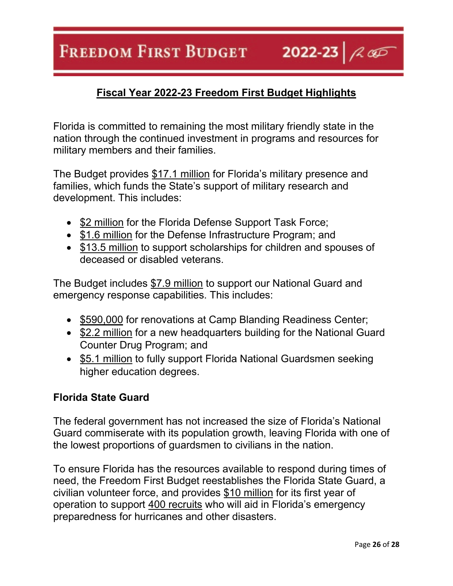2022-23  $\sim$ 

# **Fiscal Year 2022-23 Freedom First Budget Highlights**

Florida is committed to remaining the most military friendly state in the nation through the continued investment in programs and resources for military members and their families.

The Budget provides \$17.1 million for Florida's military presence and families, which funds the State's support of military research and development. This includes:

- \$2 million for the Florida Defense Support Task Force;
- \$1.6 million for the Defense Infrastructure Program; and
- \$13.5 million to support scholarships for children and spouses of deceased or disabled veterans.

The Budget includes \$7.9 million to support our National Guard and emergency response capabilities. This includes:

- \$590,000 for renovations at Camp Blanding Readiness Center;
- \$2.2 million for a new headquarters building for the National Guard Counter Drug Program; and
- \$5.1 million to fully support Florida National Guardsmen seeking higher education degrees.

#### **Florida State Guard**

The federal government has not increased the size of Florida's National Guard commiserate with its population growth, leaving Florida with one of the lowest proportions of guardsmen to civilians in the nation.

To ensure Florida has the resources available to respond during times of need, the Freedom First Budget reestablishes the Florida State Guard, a civilian volunteer force, and provides \$10 million for its first year of operation to support 400 recruits who will aid in Florida's emergency preparedness for hurricanes and other disasters.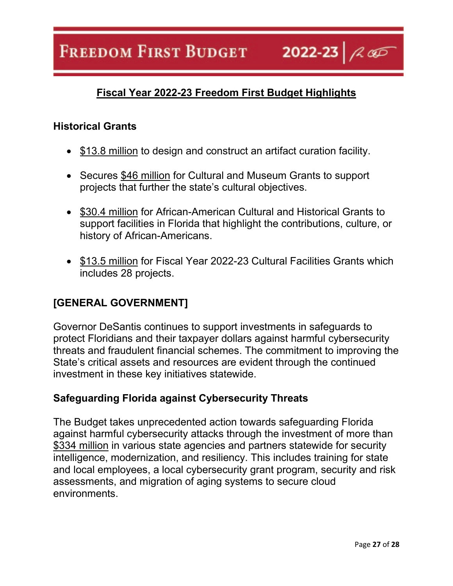2022-23  $\sim$ 

# **Fiscal Year 2022-23 Freedom First Budget Highlights**

### **Historical Grants**

- \$13.8 million to design and construct an artifact curation facility.
- Secures \$46 million for Cultural and Museum Grants to support projects that further the state's cultural objectives.
- \$30.4 million for African-American Cultural and Historical Grants to support facilities in Florida that highlight the contributions, culture, or history of African-Americans.
- \$13.5 million for Fiscal Year 2022-23 Cultural Facilities Grants which includes 28 projects.

# **[GENERAL GOVERNMENT]**

Governor DeSantis continues to support investments in safeguards to protect Floridians and their taxpayer dollars against harmful cybersecurity threats and fraudulent financial schemes. The commitment to improving the State's critical assets and resources are evident through the continued investment in these key initiatives statewide.

## **Safeguarding Florida against Cybersecurity Threats**

The Budget takes unprecedented action towards safeguarding Florida against harmful cybersecurity attacks through the investment of more than \$334 million in various state agencies and partners statewide for security intelligence, modernization, and resiliency. This includes training for state and local employees, a local cybersecurity grant program, security and risk assessments, and migration of aging systems to secure cloud environments.